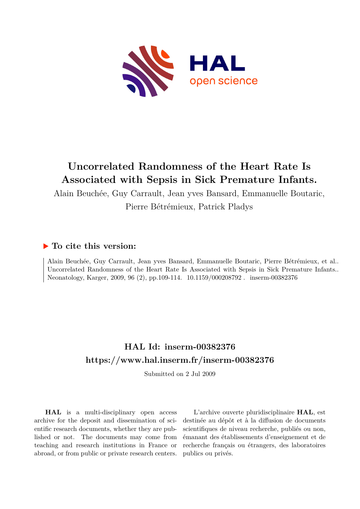

# **Uncorrelated Randomness of the Heart Rate Is Associated with Sepsis in Sick Premature Infants.**

Alain Beuchée, Guy Carrault, Jean yves Bansard, Emmanuelle Boutaric,

Pierre Bétrémieux, Patrick Pladys

# **To cite this version:**

Alain Beuchée, Guy Carrault, Jean yves Bansard, Emmanuelle Boutaric, Pierre Bétrémieux, et al.. Uncorrelated Randomness of the Heart Rate Is Associated with Sepsis in Sick Premature Infants.. Neonatology, Karger, 2009, 96 (2), pp.109-114.  $10.1159/000208792$ . inserm-00382376

# **HAL Id: inserm-00382376 <https://www.hal.inserm.fr/inserm-00382376>**

Submitted on 2 Jul 2009

**HAL** is a multi-disciplinary open access archive for the deposit and dissemination of scientific research documents, whether they are published or not. The documents may come from teaching and research institutions in France or abroad, or from public or private research centers.

L'archive ouverte pluridisciplinaire **HAL**, est destinée au dépôt et à la diffusion de documents scientifiques de niveau recherche, publiés ou non, émanant des établissements d'enseignement et de recherche français ou étrangers, des laboratoires publics ou privés.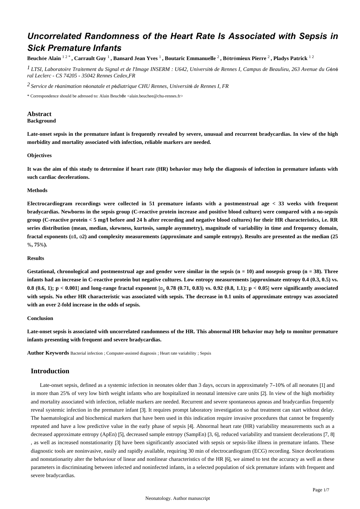# *Uncorrelated Randomness of the Heart Rate Is Associated with Sepsis in Sick Premature Infants*

Beuchée Alain  $^{1\,2\,*}$ , Carrault Guy  $^1$ , Bansard Jean Yves  $^1$ , Boutaric Emmanuelle  $^2$ , Bétrémieux Pierre  $^2$ , Pladys Patrick  $^{1\,2}$ 

*LTSI, Laboratoire Traitement du Signal et de l Image 1* ' *INSERM : U642, Universit*é *de Rennes I, Campus de Beaulieu, 263 Avenue du G*é*n*<sup>é</sup> *ral Leclerc - CS 74205 - 35042 Rennes Cedex,FR*

*Service de r animation n onatale et p diatrique 2* <sup>é</sup> <sup>é</sup> <sup>é</sup> *CHU Rennes, Universit*é *de Rennes I, FR*

\* Correspondence should be adressed to: Alain Beuchée <alain.beuchee@chu-rennes.fr>

#### **Abstract Background**

**Late-onset sepsis in the premature infant is frequently revealed by severe, unusual and recurrent bradycardias. In view of the high morbidity and mortality associated with infection, reliable markers are needed.**

#### **Objectives**

**It was the aim of this study to determine if heart rate (HR) behavior may help the diagnosis of infection in premature infants with such cardiac decelerations.**

#### **Methods**

**Electrocardiogram recordings were collected in 51 premature infants with a postmenstrual age < 33 weeks with frequent bradycardias. Newborns in the sepsis group (C-reactive protein increase and positive blood culture) were compared with a no-sepsis group (C-reactive protein < 5 mg/l before and 24 h after recording and negative blood cultures) for their HR characteristics, i.e. RR series distribution (mean, median, skewness, kurtosis, sample asymmetry), magnitude of variability in time and frequency domain, fractal exponents (**α**1,** α**2) and complexity measurements (approximate and sample entropy). Results are presented as the median (25** %**, 75**%**).**

#### **Results**

Gestational, chronological and postmenstrual age and gender were similar in the sepsis  $(n = 10)$  and nosepsis group  $(n = 38)$ . Three **infants had an increase in C-reactive protein but negative cultures. Low entropy measurements** [**approximate entropy 0.4 (0.3, 0.5) vs.**  $0.8$  (0.6, 1); p < 0.001] and long-range fractal exponent [ $\alpha_2$  0.78 (0.71, 0.83) vs. 0.92 (0.8, 1.1); p < 0.05] were significantly associated **with sepsis. No other HR characteristic was associated with sepsis. The decrease in 0.1 units of approximate entropy was associated with an over 2-fold increase in the odds of sepsis.**

#### **Conclusion**

**Late-onset sepsis is associated with uncorrelated randomness of the HR. This abnormal HR behavior may help to monitor premature infants presenting with frequent and severe bradycardias.**

**Author Keywords** Bacterial infection ; Computer-assisted diagnosis ; Heart rate variability ; Sepsis

# **Introduction**

Late-onset sepsis, defined as a systemic infection in neonates older than 3 days, occurs in approximately 7–10% of all neonates [1] and in more than 25% of very low birth weight infants who are hospitalized in neonatal intensive care units [2]. In view of the high morbidity and mortality associated with infection, reliable markers are needed. Recurrent and severe spontaneous apneas and bradycardias frequently reveal systemic infection in the premature infant [3]. It requires prompt laboratory investigation so that treatment can start without delay. The haematological and biochemical markers that have been used in this indication require invasive procedures that cannot be frequently repeated and have a low predictive value in the early phase of sepsis [4]. Abnormal heart rate (HR) variability measurements such as a decreased approximate entropy (ApEn) [5], decreased sample entropy (SampEn) [3, 6], reduced variability and transient decelerations [7, 8] , as well as increased nonstationarity [3] have been significantly associated with sepsis or sepsis-like illness in premature infants. These diagnostic tools are noninvasive, easily and rapidly available, requiring 30 min of electrocardiogram (ECG) recording. Since decelerations and nonstationarity alter the behaviour of linear and nonlinear characteristics of the HR [6], we aimed to test the accuracy as well as these parameters in discriminating between infected and noninfected infants, in a selected population of sick premature infants with frequent and severe bradycardias.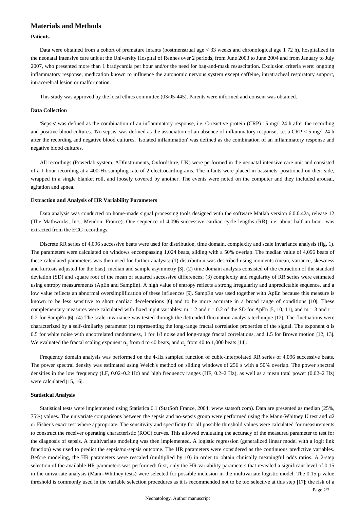# **Materials and Methods**

### **Patients**

Data were obtained from a cohort of premature infants (postmenstrual age < 33 weeks and chronological age 1 72 h), hospitalized in the neonatal intensive care unit at the University Hospital of Rennes over 2 periods, from June 2003 to June 2004 and from January to July 2007, who presented more than 1 bradycardia per hour and/or the need for bag-and-mask resuscitation. Exclusion criteria were: ongoing inflammatory response, medication known to influence the autonomic nervous system except caffeine, intratracheal respiratory support, intracerebral lesion or malformation.

This study was approved by the local ethics committee (03/05-445). Parents were informed and consent was obtained.

#### **Data Collection**

'Sepsis' was defined as the combination of an inflammatory response, i.e. C-reactive protein (CRP) 15 mg/l 24 h after the recording and positive blood cultures. 'No sepsis' was defined as the association of an absence of inflammatory response, i.e. a  $CRP < 5$  mg/l 24 h after the recording and negative blood cultures. 'Isolated inflammation' was defined as the combination of an inflammatory response and negative blood cultures.

All recordings (Powerlab system; ADInstruments, Oxfordshire, UK) were performed in the neonatal intensive care unit and consisted of a 1-hour recording at a 400-Hz sampling rate of 2 electrocardiograms. The infants were placed in bassinets, positioned on their side, wrapped in a single blanket roll, and loosely covered by another. The events were noted on the computer and they included arousal, agitation and apnea.

#### **Extraction and Analysis of HR Variability Parameters**

Data analysis was conducted on home-made signal processing tools designed with the software Matlab version 6.0.0.42a, release 12 (The Mathworks, Inc., Meudon, France). One sequence of 4,096 successive cardiac cycle lengths (RR), i.e. about half an hour, was extracted from the ECG recordings.

Discrete RR series of 4,096 successive beats were used for distribution, time domain, complexity and scale invariance analysis (fig. 1). The parameters were calculated on windows encompassing 1,024 beats, sliding with a 50% overlap. The median value of 4,096 beats of these calculated parameters was then used for further analysis: (1) distribution was described using moments (mean, variance, skewness and kurtosis adjusted for the bias), median and sample asymmetry [3]; (2) time domain analysis consisted of the extraction of the standard deviation (SD) and square root of the mean of squared successive differences; (3) complexity and regularity of RR series were estimated using entropy measurements (ApEn and SampEn). A high value of entropy reflects a strong irregularity and unpredictable sequence, and a low value reflects an abnormal oversimplification of these influences [9]. SampEn was used together with ApEn because this measure is known to be less sensitive to short cardiac decelerations [6] and to be more accurate in a broad range of conditions [10]. These complementary measures were calculated with fixed input variables:  $m = 2$  and  $r = 0.2$  of the SD for ApEn [5, 10, 11], and  $m = 3$  and  $r = 1$ 0.2 for SampEn [6]. (4) The scale invariance was tested through the detrended fluctuation analysis technique [12]. The fluctuations were characterized by a self-similarity parameter (α) representing the long-range fractal correlation properties of the signal. The exponent  $α$  is 0.5 for white noise with uncorrelated randomness, 1 for 1/f noise and long-range fractal correlations, and 1.5 for Brown motion [12, 13]. We evaluated the fractal scaling exponent  $\alpha_1$  from 4 to 40 beats, and  $\alpha_2$  from 40 to 1,000 beats [14].

Frequency domain analysis was performed on the 4-Hz sampled function of cubic-interpolated RR series of 4,096 successive beats. The power spectral density was estimated using Welch's method on sliding windows of 256 s with a 50% overlap. The power spectral densities in the low frequency (LF, 0.02–0.2 Hz) and high frequency ranges (HF, 0.2–2 Hz), as well as a mean total power (0.02–2 Hz) were calculated [15, 16].

#### **Statistical Analysis**

Statistical tests were implemented using Statistica 6.1 (StatSoft France, 2004; www.statsoft.com). Data are presented as median (25%, 75%) values. The univariate comparisons between the sepsis and no-sepsis group were performed using the Mann-Whitney U test and α2 or Fisher's exact test where appropriate. The sensitivity and specificity for all possible threshold values were calculated for measurements to construct the receiver operating characteristic (ROC) curves. This allowed evaluating the accuracy of the measured parameter to test for the diagnosis of sepsis. A multivariate modeling was then implemented. A logistic regression (generalized linear model with a logit link function) was used to predict the sepsis/no-sepsis outcome. The HR parameters were considered as the continuous predictive variables. Before modeling, the HR parameters were rescaled (multiplied by 10) in order to obtain clinically meaningful odds ratios. A 2-step selection of the available HR parameters was performed: first, only the HR variability parameters that revealed a significant level of 0.15 in the univariate analysis (Mann-Whitney tests) were selected for possible inclusion in the multivariate logistic model. The 0.15 p value threshold is commonly used in the variable selection procedures as it is recommended not to be too selective at this step [17]: the risk of a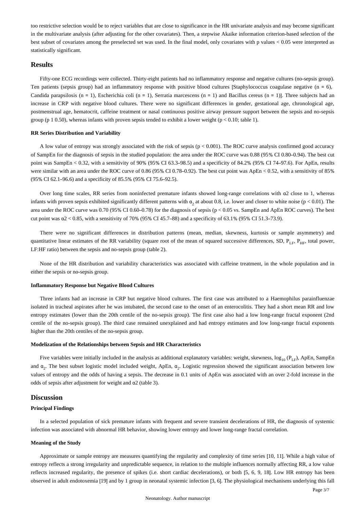too restrictive selection would be to reject variables that are close to significance in the HR univariate analysis and may become significant in the multivariate analysis (after adjusting for the other covariates). Then, a stepwise Akaike information criterion-based selection of the best subset of covariates among the preselected set was used. In the final model, only covariates with p values < 0.05 were interpreted as statistically significant.

# **Results**

Fifty-one ECG recordings were collected. Thirty-eight patients had no inflammatory response and negative cultures (no-sepsis group). Ten patients (sepsis group) had an inflammatory response with positive blood cultures [Staphylococcus coagulase negative (n = 6), Candida parapsilosis (n = 1), Escherichia coli (n = 1), Serratia marcescens (n = 1) and Bacillus cereus (n = 1)]. Three subjects had an increase in CRP with negative blood cultures. There were no significant differences in gender, gestational age, chronological age, postmenstrual age, hematocrit, caffeine treatment or nasal continuous positive airway pressure support between the sepsis and no-sepsis group (p 1 0.50), whereas infants with proven sepsis tended to exhibit a lower weight ( $p < 0.10$ ; table 1).

#### **RR Series Distribution and Variability**

A low value of entropy was strongly associated with the risk of sepsis  $(p < 0.001)$ . The ROC curve analysis confirmed good accuracy of SampEn for the diagnosis of sepsis in the studied population: the area under the ROC curve was 0.88 (95% CI 0.80–0.94). The best cut point was SampEn < 0.32, with a sensitivity of 90% (95% CI 63.3–98.5) and a specificity of 84.2% (95% CI 74–97.6). For ApEn, results were similar with an area under the ROC curve of 0.86 (95% CI 0.78–0.92). The best cut point was ApEn < 0.52, with a sensitivity of 85% (95% CI 62.1–96.6) and a specificity of 85.5% (95% CI 75.6–92.5).

Over long time scales, RR series from noninfected premature infants showed long-range correlations with α2 close to 1, whereas infants with proven sepsis exhibited significantly different patterns with  $\alpha$ , at about 0.8, i.e. lower and closer to white noise (p < 0.01). The area under the ROC curve was 0.70 (95% CI 0.60–0.78) for the diagnosis of sepsis ( $p < 0.05$  vs. SampEn and ApEn ROC curves). The best cut point was α2 < 0.85, with a sensitivity of 70% (95% CI 45.7–88) and a specificity of 63.1% (95% CI 51.3–73.9).

There were no significant differences in distribution patterns (mean, median, skewness, kurtosis or sample asymmetry) and quantitative linear estimates of the RR variability (square root of the mean of squared successive differences, SD,  $P_{I,F}$ ,  $P_{HF}$ , total power, LF:HF ratio) between the sepsis and no-sepsis group (table 2).

None of the HR distribution and variability characteristics was associated with caffeine treatment, in the whole population and in either the sepsis or no-sepsis group.

#### **Inflammatory Response but Negative Blood Cultures**

Three infants had an increase in CRP but negative blood cultures. The first case was attributed to a Haemophilus parainfluenzae isolated in tracheal aspirates after he was intubated, the second case to the onset of an enterocolitis. They had a short mean RR and low entropy estimates (lower than the 20th centile of the no-sepsis group). The first case also had a low long-range fractal exponent (2nd centile of the no-sepsis group). The third case remained unexplained and had entropy estimates and low long-range fractal exponents higher than the 20th centiles of the no-sepsis group.

#### **Modelization of the Relationships between Sepsis and HR Characteristics**

Five variables were initially included in the analysis as additional explanatory variables: weight, skewness,  $\log_{10}(P_{LF})$ , ApEn, SampEn and  $\alpha_2$ . The best subset logistic model included weight, ApEn,  $\alpha_2$ . Logistic regression showed the significant association between low values of entropy and the odds of having a sepsis. The decrease in 0.1 units of ApEn was associated with an over 2-fold increase in the odds of sepsis after adjustment for weight and  $\alpha$ 2 (table 3).

#### **Discussion**

#### **Principal Findings**

In a selected population of sick premature infants with frequent and severe transient decelerations of HR, the diagnosis of systemic infection was associated with abnormal HR behavior, showing lower entropy and lower long-range fractal correlation.

#### **Meaning of the Study**

Approximate or sample entropy are measures quantifying the regularity and complexity of time series [10, 11]. While a high value of entropy reflects a strong irregularity and unpredictable sequence, in relation to the multiple influences normally affecting RR, a low value reflects increased regularity, the presence of spikes (i.e. short cardiac decelerations), or both [5, 6, 9, 18]. Low HR entropy has been observed in adult endotoxemia [19] and by 1 group in neonatal systemic infection [3, 6]. The physiological mechanisms underlying this fall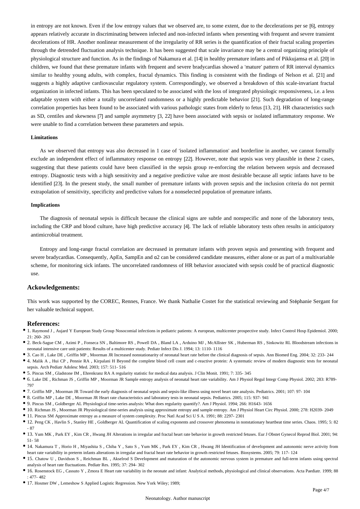in entropy are not known. Even if the low entropy values that we observed are, to some extent, due to the decelerations per se [6], entropy appears relatively accurate in discriminating between infected and non-infected infants when presenting with frequent and severe transient decelerations of HR. Another nonlinear measurement of the irregularity of RR series is the quantification of their fractal scaling properties through the detrended fluctuation analysis technique. It has been suggested that scale invariance may be a central organizing principle of physiological structure and function. As in the findings of Nakamura et al. [14] in healthy premature infants and of Pikkujamsa et al. [20] in children, we found that these premature infants with frequent and severe bradycardias showed a 'mature' pattern of RR interval dynamics similar to healthy young adults, with complex, fractal dynamics. This finding is consistent with the findings of Nelson et al. [21] and suggests a highly adaptive cardiovascular regulatory system. Correspondingly, we observed a breakdown of this scale-invariant fractal organization in infected infants. This has been speculated to be associated with the loss of integrated physiologic responsiveness, i.e. a less adaptable system with either a totally uncorrelated randomness or a highly predictable behavior [21]. Such degradation of long-range correlation properties has been found to be associated with various pathologic states from elderly to fetus [13, 21]. HR characteristics such as SD, centiles and skewness [7] and sample asymmetry [3, 22] have been associated with sepsis or isolated inflammatory response. We were unable to find a correlation between these parameters and sepsis.

#### **Limitations**

As we observed that entropy was also decreased in 1 case of 'isolated inflammation' and borderline in another, we cannot formally exclude an independent effect of inflammatory response on entropy [22]. However, note that sepsis was very plausible in these 2 cases, suggesting that these patients could have been classified in the sepsis group re-enforcing the relation between sepsis and decreased entropy. Diagnostic tests with a high sensitivity and a negative predictive value are most desirable because all septic infants have to be identified [23]. In the present study, the small number of premature infants with proven sepsis and the inclusion criteria do not permit extrapolation of sensitivity, specificity and predictive values for a nonselected population of premature infants.

#### **Implications**

The diagnosis of neonatal sepsis is difficult because the clinical signs are subtle and nonspecific and none of the laboratory tests, including the CRP and blood culture, have high predictive accuracy [4]. The lack of reliable laboratory tests often results in anticipatory antimicrobial treatment.

Entropy and long-range fractal correlation are decreased in premature infants with proven sepsis and presenting with frequent and severe bradycardias. Consequently, ApEn, SampEn and α2 can be considered candidate measures, either alone or as part of a multivariable scheme, for monitoring sick infants. The uncorrelated randomness of HR behavior associated with sepsis could be of practical diagnostic use.

### **Ackowledgements:**

This work was supported by the COREC, Rennes, France. We thank Nathalie Costet for the statistical reviewing and Stéphanie Sergant for her valuable technical support.

#### **References:**

- 1. Raymond J , Aujard Y European Study Group Nosocomial infections in pediatric patients: A european, multicenter prospective study. Infect Control Hosp Epidemiol. 2000; 21: 260- 263
- 2. Beck-Sague CM , Azimi P , Fonseca SN , Baltimore RS , Powell DA , Bland LA , Arduino MJ , McAllister SK , Huberman RS , Sinkowitz RL Bloodstream infections in neonatal intensive care unit patients: Results of a multicenter study. Pediatr Infect Dis J. 1994; 13: 1110- 1116
- 3. Cao H , Lake DE , Griffin MP , Moorman JR Increased nonstationarity of neonatal heart rate before the clinical diagnosis of sepsis. Ann Biomed Eng. 2004; 32: 233- 244
- 4. Malik A , Hui CP , Pennie RA , Kirpalani H Beyond the complete blood cell count and c-reactive protein: A systematic review of modern diagnostic tests for neonatal sepsis. Arch Pediatr Adolesc Med. 2003; 157: 511- 516
- 5. Pincus SM , Gladstone IM , Ehrenkranz RA A regularity statistic for medical data analysis. J Clin Monit. 1991; 7: 335- 345
- 6. Lake DE , Richman JS , Griffin MP , Moorman JR Sample entropy analysis of neonatal heart rate variability. Am J Physiol Regul Integr Comp Physiol. 2002; 283: R789- 797
- 7. Griffin MP , Moorman JR Toward the early diagnosis of neonatal sepsis and sepsis-like illness using novel heart rate analysis. Pediatrics. 2001; 107: 97- 104
- 8. Griffin MP , Lake DE , Moorman JR Heart rate characteristics and laboratory tests in neonatal sepsis. Pediatrics. 2005; 115: 937- 941
- 9. Pincus SM , Goldberger AL Physiological time-series analysis: What does regularity quantify?. Am J Physiol. 1994; 266: H1643- 1656
- 10. Richman JS , Moorman JR Physiological time-series analysis using approximate entropy and sample entropy. Am J Physiol Heart Circ Physiol. 2000; 278: H2039- 2049
- 11. Pincus SM Approximate entropy as a measure of system complexity. Proc Natl Acad Sci U S A. 1991; 88: 2297- 2301
- 12. Peng CK , Havlin S , Stanley HE , Goldberger AL Quantification of scaling exponents and crossover phenomena in nonstationary heartbeat time series. Chaos. 1995; 5: 82 - 87
- 13. Yum MK , Park EY , Kim CR , Hwang JH Alterations in irregular and fractal heart rate behavior in growth restricted fetuses. Eur J Obstet Gynecol Reprod Biol. 2001; 94: 51- 58
- 14. Nakamura T , Horio H , Miyashita S , Chiba Y , Sato S , Yum MK , Park EY , Kim CR , Hwang JH Identification of development and autonomic nerve activity from heart rate variability in preterm infants alterations in irregular and fractal heart rate behavior in growth restricted fetuses. Biosystems. 2005; 79: 117- 124
- 15. Chatow U , Davidson S , Reichman BL , Akselrod S Development and maturation of the autonomic nervous system in premature and full-term infants using spectral analysis of heart rate fluctuations. Pediatr Res. 1995; 37: 294- 302
- 16. Rosenstock EG , Cassuto Y , Zmora E Heart rate variability in the neonate and infant: Analytical methods, physiological and clinical observations. Acta Paediatr. 1999; 88  $.477 - .482$
- 17. Hosmer DW , Lemeshow S Applied Logistic Regression. New York Wiley; 1989;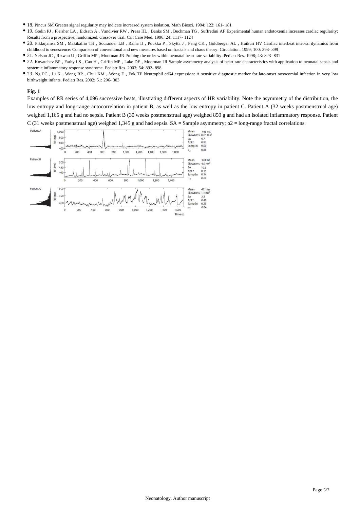- 18. Pincus SM Greater signal regularity may indicate increased system isolation. Math Biosci. 1994; 122: 161- 181
- 19. Godin PJ , Fleisher LA , Eidsath A , Vandivier RW , Preas HL , Banks SM , Buchman TG , Suffredini AF Experimental human endotoxemia increases cardiac regularity: Results from a prospective, randomized, crossover trial. Crit Care Med. 1996; 24: 1117- 1124
- 20. Pikkujamsa SM , Makikallio TH , Sourander LB , Raiha IJ , Puukka P , Skytta J , Peng CK , Goldberger AL , Huikuri HV Cardiac interbeat interval dynamics from childhood to senescence: Comparison of conventional and new measures based on fractals and chaos theory. Circulation. 1999; 100: 393- 399
- 21. Nelson JC , Rizwan U , Griffin MP , Moorman JR Probing the order within neonatal heart rate variability. Pediatr Res. 1998; 43: 823- 831
- 22. Kovatchev BP , Farhy LS , Cao H , Griffin MP , Lake DE , Moorman JR Sample asymmetry analysis of heart rate characteristics with application to neonatal sepsis and systemic inflammatory response syndrome. Pediatr Res. 2003; 54: 892- 898
- 23. Ng PC , Li K , Wong RP , Chui KM , Wong E , Fok TF Neutrophil cd64 expression: A sensitive diagnostic marker for late-onset nosocomial infection in very low birthweight infants. Pediatr Res. 2002; 51: 296- 303

### **Fig. 1**

Examples of RR series of 4,096 successive beats, illustrating different aspects of HR variability. Note the asymmetry of the distribution, the low entropy and long-range autocorrelation in patient B, as well as the low entropy in patient C. Patient A (32 weeks postmenstrual age) weighed 1,165 g and had no sepsis. Patient B (30 weeks postmenstrual age) weighed 850 g and had an isolated inflammatory response. Patient C (31 weeks postmenstrual age) weighed 1,345 g and had sepsis.  $SA = Sample$  asymmetry;  $\alpha$ 2 = long-range fractal correlations.

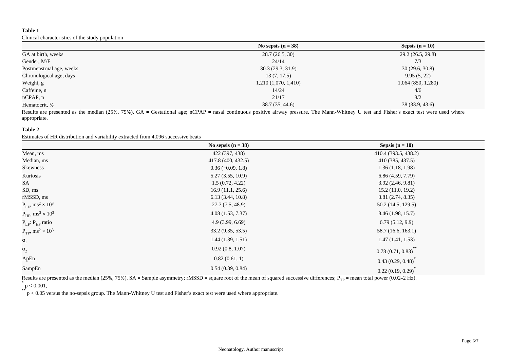# **Table 1**

Clinical characteristics of the study population

|                                                                | No sepsis $(n = 38)$ | Sepsis $(n = 10)$ |
|----------------------------------------------------------------|----------------------|-------------------|
| GA at birth, weeks                                             | 28.7(26.5, 30)       | 29.2(26.5, 29.8)  |
| Gender, M/F                                                    | 24/14                | 7/3               |
| Postmenstrual age, weeks                                       | 30.3(29.3, 31.9)     | 30(29.6, 30.8)    |
| Chronological age, days                                        | 13(7, 17.5)          | 9.95(5, 22)       |
| Weight, g                                                      | 1,210(1,070, 1,410)  | 1,064(850, 1,280) |
| Caffeine, n                                                    | 14/24                | 4/6               |
| nCPAP, n                                                       | 21/17                | 8/2               |
| Hematocrit, %<br>the property of the control of the control of | 38.7 (35, 44.6)      | 38 (33.9, 43.6)   |

Results are presented as the median (25%, 75%). GA = Gestational age; nCPAP = nasal continuous positive airway pressure. The Mann-Whitney U test and Fisher's exact test were used where appropriate.

# **Table 2**

Estimates of HR distribution and variability extracted from 4,096 successive beats

|                                              | No sepsis $(n = 38)$ | Sepsis $(n = 10)$    |
|----------------------------------------------|----------------------|----------------------|
| Mean, ms                                     | 422 (397, 438)       | 410.4 (393.5, 438.2) |
| Median, ms                                   | 417.8 (400, 432.5)   | 410 (385, 437.5)     |
| Skewness                                     | $0.36(-0.09, 1.8)$   | 1.36(1.18, 1.98)     |
| Kurtosis                                     | 5.27(3.55, 10.9)     | 6.86(4.59, 7.79)     |
| <b>SA</b>                                    | 1.5(0.72, 4.22)      | 3.92(2.46, 9.81)     |
| SD, ms                                       | 16.9(11.1, 25.6)     | 15.2(11.0, 19.2)     |
| rMSSD, ms                                    | 6.13(3.44, 10.8)     | 3.81(2.74, 8.35)     |
| $P_{LF}$ , ms <sup>2</sup> × 10 <sup>3</sup> | 27.7 (7.5, 48.9)     | 50.2 (14.5, 129.5)   |
| $P_{HF}$ , ms <sup>2</sup> × 10 <sup>3</sup> | 4.08(1.53, 7.37)     | 8.46 (1.98, 15.7)    |
| $P_{LF}: P_{HF}$ ratio                       | 4.9(3.99, 6.69)      | 6.79(5.12, 9.9)      |
| $P_{TP}$ , ms <sup>2</sup> × 10 <sup>3</sup> | 33.2(9.35, 53.5)     | 58.7 (16.6, 163.1)   |
| $\alpha_1$                                   | 1.44(1.39, 1.51)     | 1.47(1.41, 1.53)     |
| $\alpha_2$                                   | 0.92(0.8, 1.07)      | 0.78(0.71, 0.83)     |
| ApEn                                         | 0.82(0.61, 1)        | 0.43(0.29, 0.48)     |
| SampEn                                       | 0.54(0.39, 0.84)     | 0.22(0.19, 0.29)     |

Results are presented as the median (25%, 75%).  $SA =$  Sample asymmetry; rMSSD = square root of the mean of squared successive differences;  $P_{TP}$  = mean total power (0.02–2 Hz).  $*$  p < 0.001,

\*\*  $p^*$  p < 0.05 versus the no-sepsis group. The Mann-Whitney U test and Fisher's exact test were used where appropriate.